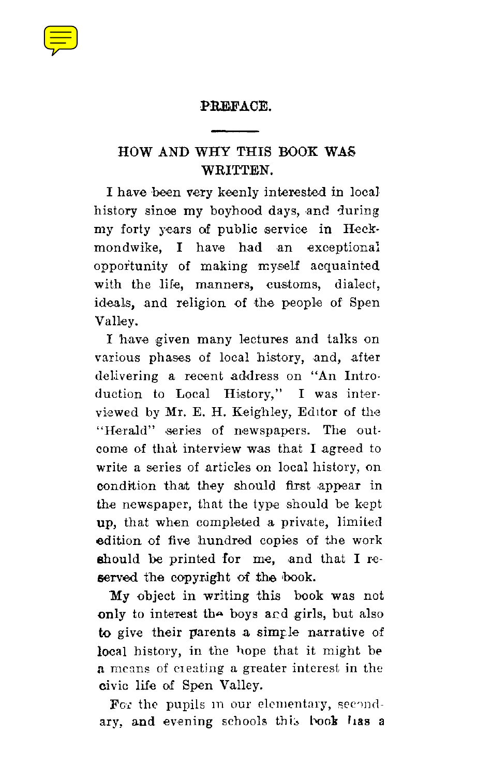#### **PREFACE.**

# HOW AND WHY THIS BOOK WAS WRITTEN.

I have been very keenly interested in local history since my boyhood days, and during my forty years of public service in Heckmondwike, I have had an exceptional opportunity of making myself acquainted with the life, manners, customs, dialect, ideals, and religion of the people of Spen Valley.

I have given many lectures and talks on various phases of local history, and, after delivering a recent address on "An Introduction to Local History," I was interviewed by Mr. E. H. Keighley, Editor of the "Herald" series of newspapers. The outcome of that interview was that I agreed to write a series of articles on local history, on condition that they should first appear in the newspaper, that the type should be kept up, that when completed a private, limited edition of five hundred copies of the work should be printed for me, and that I reserved the copyright of the book.

My object in writing this book was not only to interest the boys and girls, but also to give their parents a simple narrative of local history, in the hope that it might be a means of creating a greater interest in the civic life of Spen Valley.

For the pupils in our elementary, secondary, and evening schools this book has a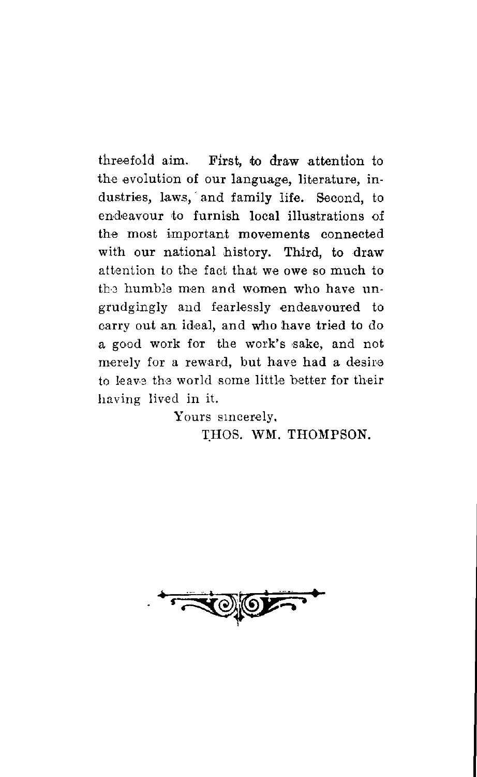threefold aim. First, to draw attention to the evolution of our language, literature, industries, laws, and family life. Second, to endeavour to furnish local illustrations of the most important movements connected with our national history. Third, to draw attention to the fact that we owe so much to the humble men and women who have ungrudgingly and fearlessly endeavoured to carry out an ideal, and who have tried to do a good work for the work's sake, and not merely for a reward, but have had a desire to leave the world some little better for their having lived in it.

> Yours sincerely, THOS. WM. THOMPSON.

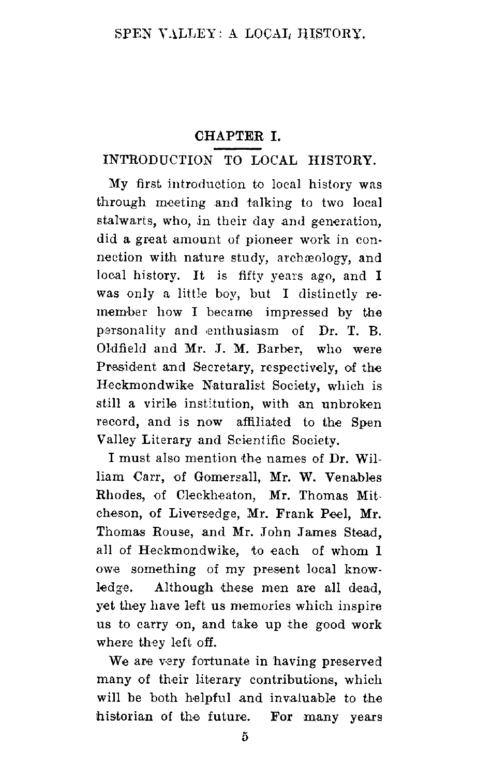# CHAPTER I.

# INTRODUCTION TO LOCAL HISTORY.

My first introduction to local history was through meeting and talking to two local stalwarts, who, in their day and generation, did a great amount of pioneer work in connection with nature study, archaeology, and local history. It is fifty years ago, and I was only a little boy, but I distinctly remember how I became impressed by the personality and enthusiasm of Dr. T. B. Oldfield and Mr. J. M. Barber, who were President and Secretary, respectively, of the Heckmondwike Naturalist Society, which is still a virile institution, with an unbroken record, and is now affiliated to the Spen Valley Literary and Scientific Society.

I must also mention the names of Dr. William Carr, of Gomersall, Mr. W. Venables Rhodes, of Cleckheaton, Mr. Thomas Mitcheson, of Liversedge, Mr. Frank Peel, Mr. Thomas Rouse, and Mr. John James Stead, all of Heckmondwike, to each of whom 1 owe something of my present local knowledge. Although these men are all dead. yet they have left us memories which inspire us to carry on, and take up the good work where they left off.

We are very fortunate in having preserved many of their literary contributions, which will be both helpful and invaluable to the historian of the future. For many years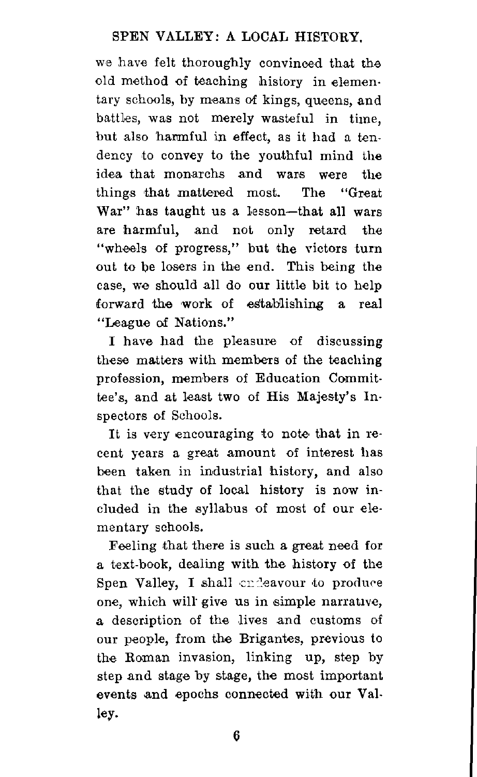## **SPEN VALLEY : A LOCAL HISTORY.**

we have felt thoroughly convinced that the old method of teaching history in elementary schools, by means of kings, queens, and battles, was not merely wasteful in time, but also harmful in effect, as it had a tendency to convey to the youthful mind the idea that monarchs and wars were the things that mattered most. The "Great War" has taught us a lesson—that all wars are harmful, and not only retard the "wheels of progress," but the victors turn out to be losers in the end. This being the case, we should all do our little bit to help forward the work of establishing a real "League of Nations."

I have had the pleasure of discussing these matters with members of the teaching profession, members of Education Committee's, and at least two of His Majesty's Inspectors of Schools.

It is very encouraging to note that in recent years a great amount of interest has been taken in industrial history, and also that the study of local history is now included in the syllabus of most of our elementary schools.

Feeling that there is such a great need for a text-book, dealing with the history of the Spen Valley, I shall endeavour to produce one, which will give us in simple narrative, a description of the lives and customs of our people, from the Brigantes, previous to the Roman invasion, linking up, step by step and stage by stage, the most important events and epochs connected with our Valley.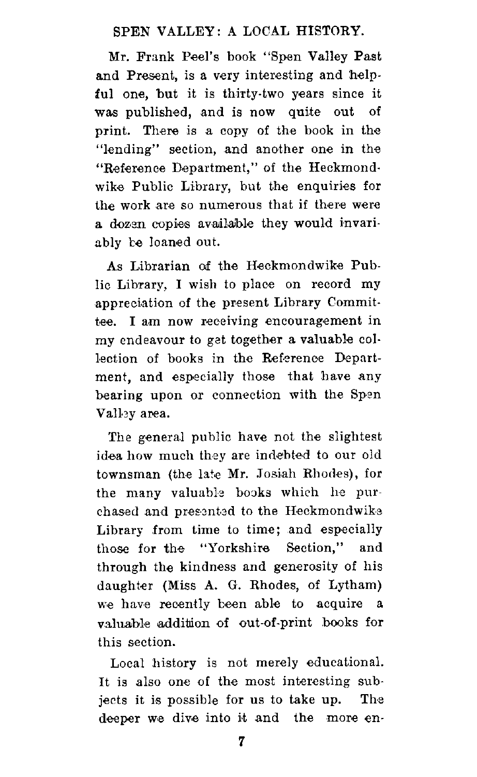## **SPEN VALLEY : A LOCAL HISTORY.**

Mr. Frank Peel's book "Spen Valley Past and Present, is a very interesting and helpful one, but it is thirty-two years since it was published, and is now quite out of print. There is a copy of the book in the "lending" section, and another one in the "Reference Department," of the Heckmondwike Public Library, but the enquiries for the work are so numerous that if there were a dozen copies available they would invariably be loaned out.

As Librarian of the Heckmondwike Public Library, I wish to place on record my appreciation of the present Library Committee. I am now receiving encouragement in my endeavour to get together a valuable collection of books in the Reference Department, and especially those that have any bearing upon or connection with the Spen Valley area.

The general public have not the slightest idea how much they are indebted to our old townsman (the late Mr. Josiah Rhodes), for the many valuable books which he purchased and presented to the Heckmondwike Library from time to time; and especially those for the "Yorkshire Section," and through the kindness and generosity of his daughter (Miss A. G. Rhodes, of Lytham) we have recently been able to acquire a valuable addition of out-of-print books for this section.

Local history is not merely educational. It is also one of the most interesting subjects it is possible for us to take up. The deeper we dive into it and the more en-